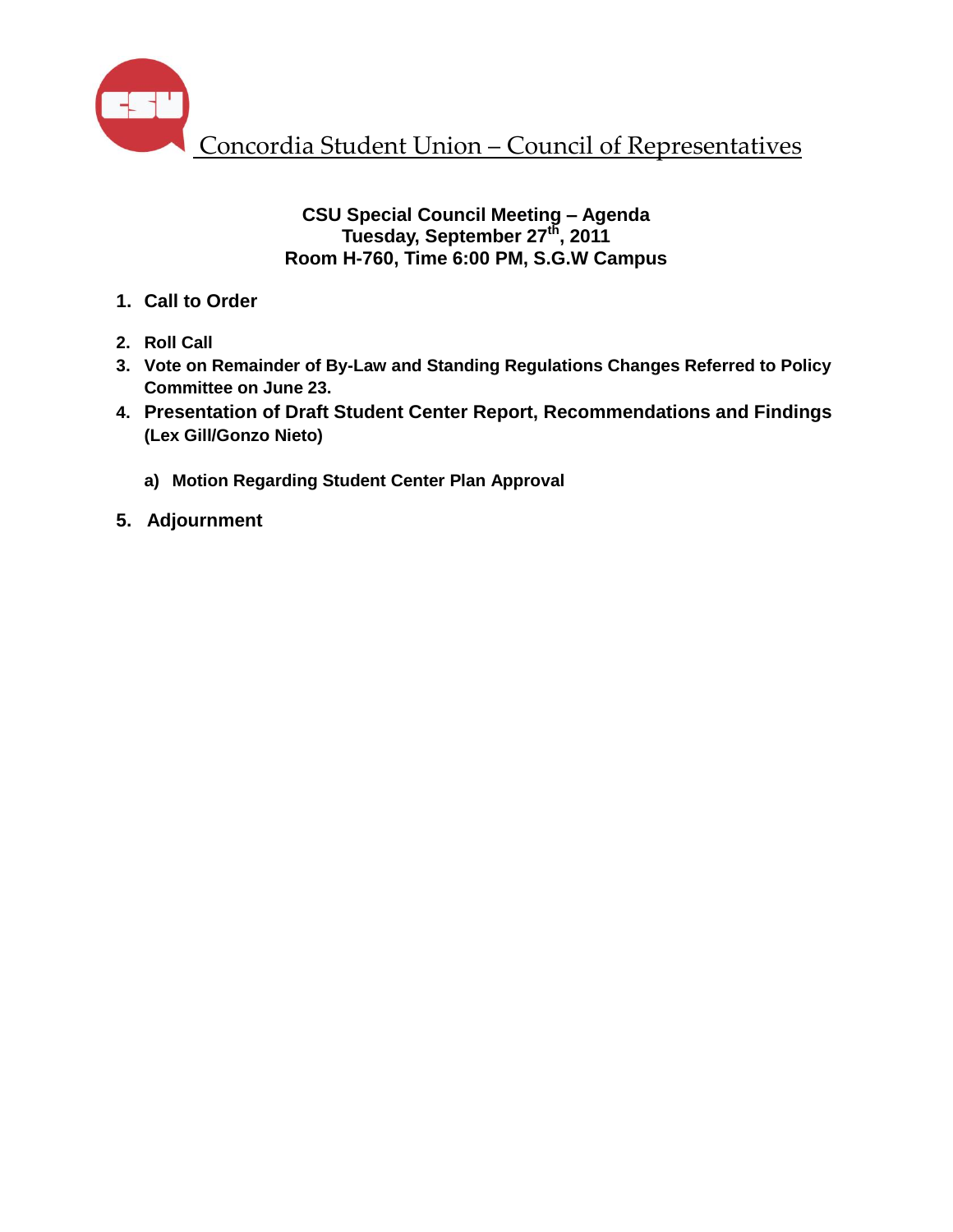

#### **CSU Special Council Meeting – Agenda Tuesday, September 27th , 2011 Room H-760, Time 6:00 PM, S.G.W Campus**

- **1. Call to Order**
- **2. Roll Call**
- **3. Vote on Remainder of By-Law and Standing Regulations Changes Referred to Policy Committee on June 23.**
- **4. Presentation of Draft Student Center Report, Recommendations and Findings (Lex Gill/Gonzo Nieto)**
	- **a) Motion Regarding Student Center Plan Approval**
- **5. Adjournment**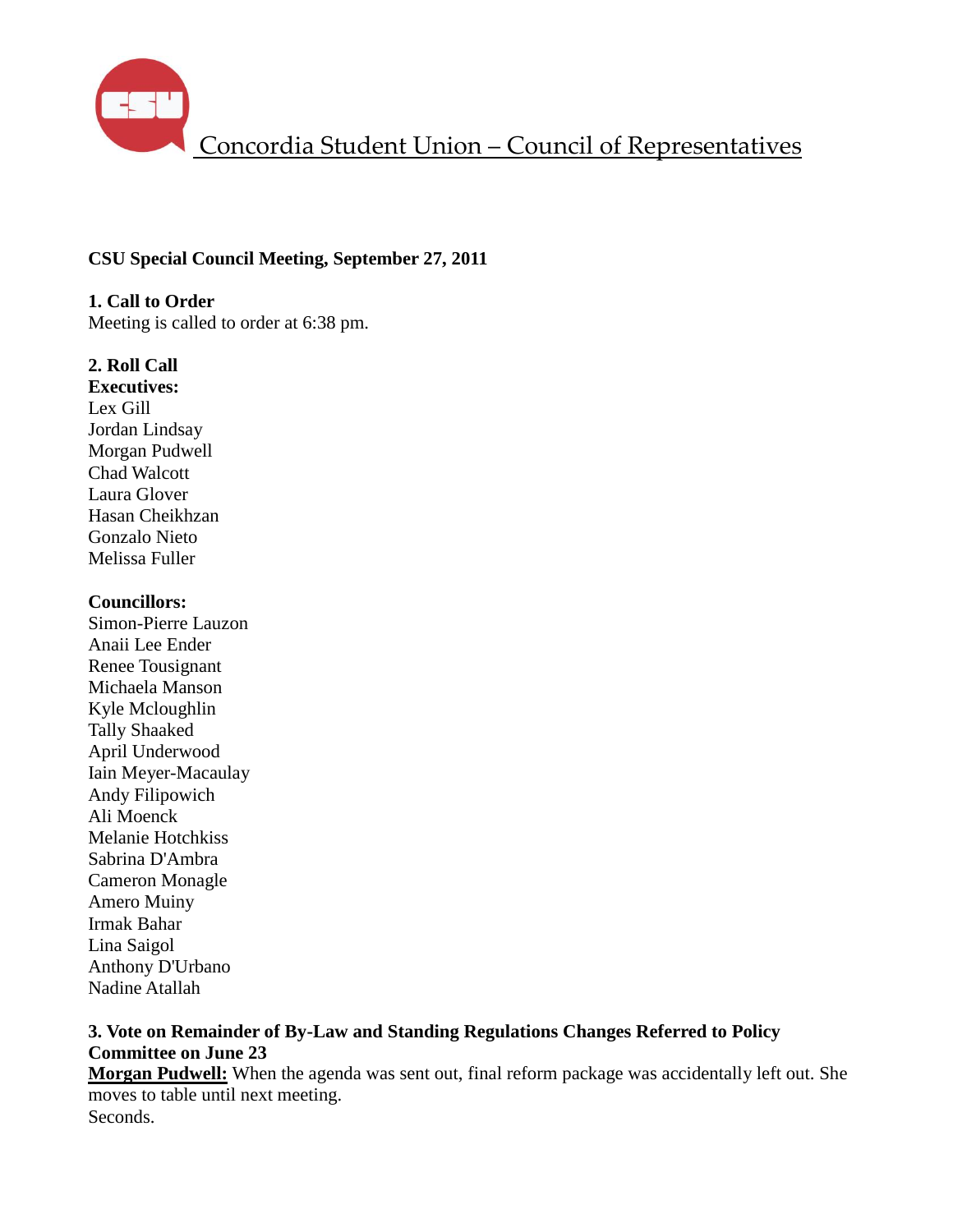

#### **CSU Special Council Meeting, September 27, 2011**

**1. Call to Order** Meeting is called to order at 6:38 pm.

#### **2. Roll Call**

**Executives:** Lex Gill Jordan Lindsay Morgan Pudwell Chad Walcott Laura Glover Hasan Cheikhzan Gonzalo Nieto Melissa Fuller

#### **Councillors:**

Simon-Pierre Lauzon Anaii Lee Ender Renee Tousignant Michaela Manson Kyle Mcloughlin Tally Shaaked April Underwood Iain Meyer-Macaulay Andy Filipowich Ali Moenck Melanie Hotchkiss Sabrina D'Ambra Cameron Monagle Amero Muiny Irmak Bahar Lina Saigol Anthony D'Urbano Nadine Atallah

#### **3. Vote on Remainder of By-Law and Standing Regulations Changes Referred to Policy Committee on June 23**

**Morgan Pudwell:** When the agenda was sent out, final reform package was accidentally left out. She moves to table until next meeting.

Seconds.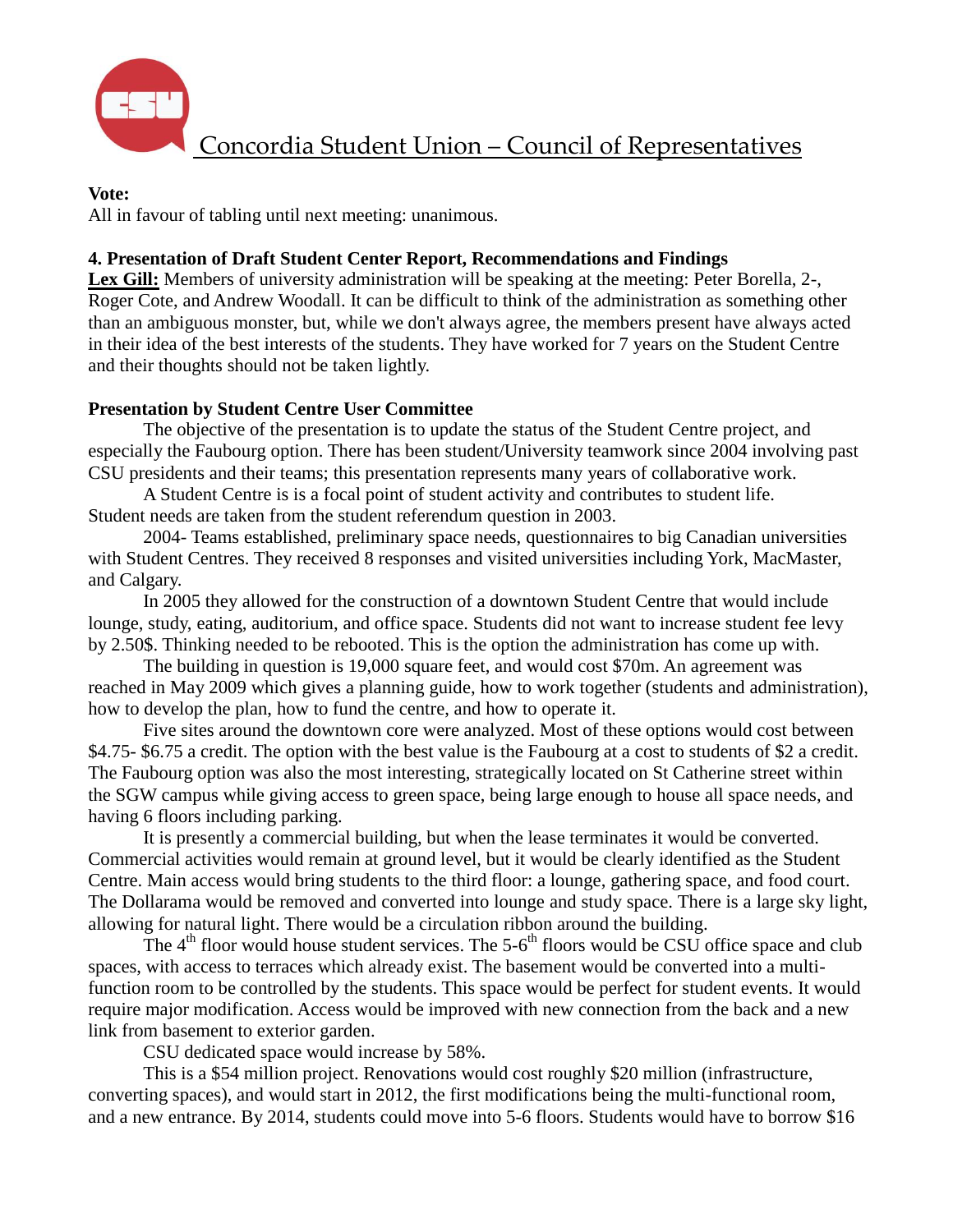

#### **Vote:**

All in favour of tabling until next meeting: unanimous.

## **4. Presentation of Draft Student Center Report, Recommendations and Findings**

**Lex Gill:** Members of university administration will be speaking at the meeting: Peter Borella, 2-, Roger Cote, and Andrew Woodall. It can be difficult to think of the administration as something other than an ambiguous monster, but, while we don't always agree, the members present have always acted in their idea of the best interests of the students. They have worked for 7 years on the Student Centre and their thoughts should not be taken lightly.

#### **Presentation by Student Centre User Committee**

The objective of the presentation is to update the status of the Student Centre project, and especially the Faubourg option. There has been student/University teamwork since 2004 involving past CSU presidents and their teams; this presentation represents many years of collaborative work.

A Student Centre is is a focal point of student activity and contributes to student life. Student needs are taken from the student referendum question in 2003.

2004- Teams established, preliminary space needs, questionnaires to big Canadian universities with Student Centres. They received 8 responses and visited universities including York, MacMaster, and Calgary.

In 2005 they allowed for the construction of a downtown Student Centre that would include lounge, study, eating, auditorium, and office space. Students did not want to increase student fee levy by 2.50\$. Thinking needed to be rebooted. This is the option the administration has come up with.

The building in question is 19,000 square feet, and would cost \$70m. An agreement was reached in May 2009 which gives a planning guide, how to work together (students and administration), how to develop the plan, how to fund the centre, and how to operate it.

Five sites around the downtown core were analyzed. Most of these options would cost between \$4.75- \$6.75 a credit. The option with the best value is the Faubourg at a cost to students of \$2 a credit. The Faubourg option was also the most interesting, strategically located on St Catherine street within the SGW campus while giving access to green space, being large enough to house all space needs, and having 6 floors including parking.

It is presently a commercial building, but when the lease terminates it would be converted. Commercial activities would remain at ground level, but it would be clearly identified as the Student Centre. Main access would bring students to the third floor: a lounge, gathering space, and food court. The Dollarama would be removed and converted into lounge and study space. There is a large sky light, allowing for natural light. There would be a circulation ribbon around the building.

The  $4<sup>th</sup>$  floor would house student services. The 5-6<sup>th</sup> floors would be CSU office space and club spaces, with access to terraces which already exist. The basement would be converted into a multifunction room to be controlled by the students. This space would be perfect for student events. It would require major modification. Access would be improved with new connection from the back and a new link from basement to exterior garden.

CSU dedicated space would increase by 58%.

This is a \$54 million project. Renovations would cost roughly \$20 million (infrastructure, converting spaces), and would start in 2012, the first modifications being the multi-functional room, and a new entrance. By 2014, students could move into 5-6 floors. Students would have to borrow \$16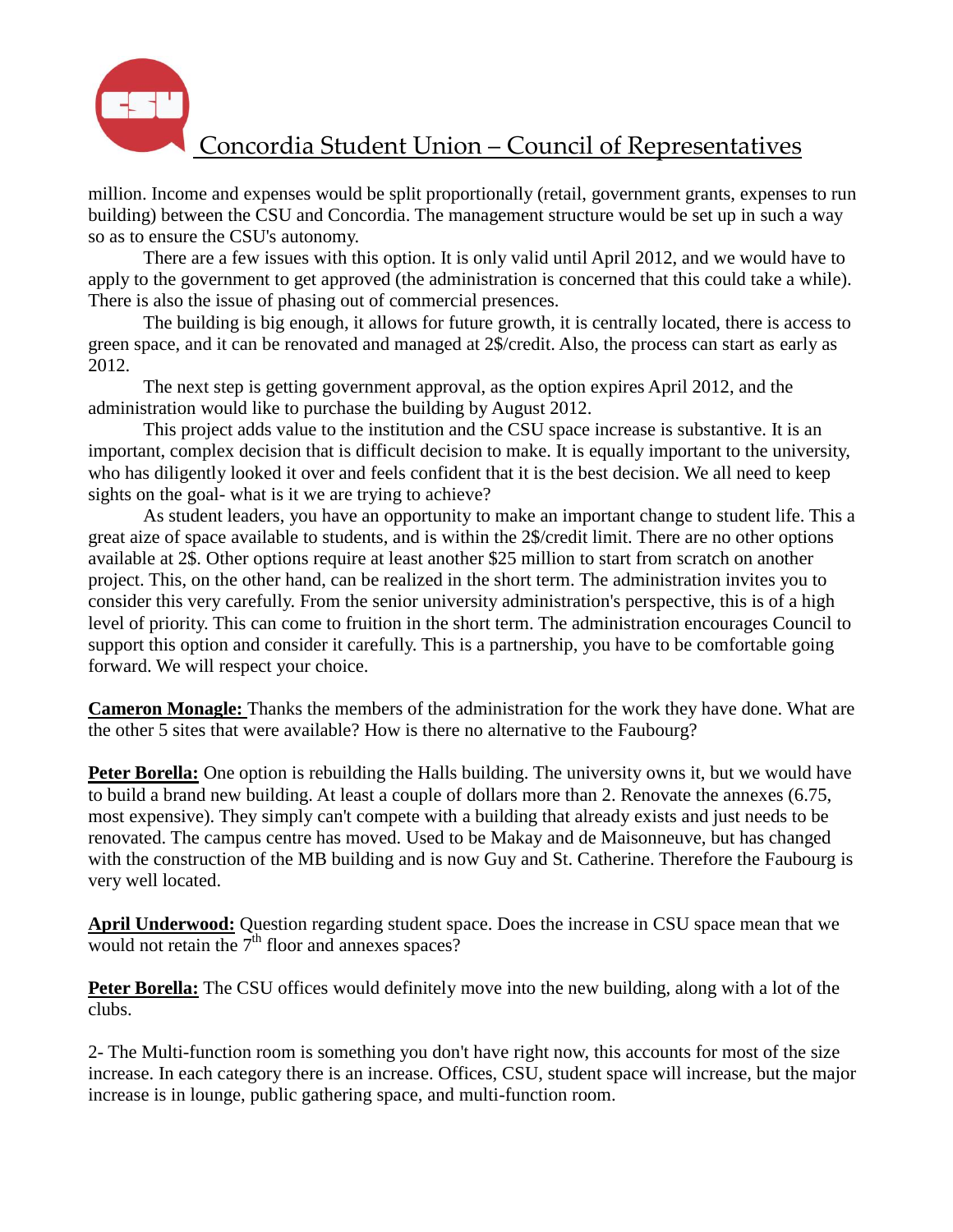

million. Income and expenses would be split proportionally (retail, government grants, expenses to run building) between the CSU and Concordia. The management structure would be set up in such a way so as to ensure the CSU's autonomy.

There are a few issues with this option. It is only valid until April 2012, and we would have to apply to the government to get approved (the administration is concerned that this could take a while). There is also the issue of phasing out of commercial presences.

The building is big enough, it allows for future growth, it is centrally located, there is access to green space, and it can be renovated and managed at 2\$/credit. Also, the process can start as early as 2012.

The next step is getting government approval, as the option expires April 2012, and the administration would like to purchase the building by August 2012.

This project adds value to the institution and the CSU space increase is substantive. It is an important, complex decision that is difficult decision to make. It is equally important to the university, who has diligently looked it over and feels confident that it is the best decision. We all need to keep sights on the goal- what is it we are trying to achieve?

As student leaders, you have an opportunity to make an important change to student life. This a great aize of space available to students, and is within the 2\$/credit limit. There are no other options available at 2\$. Other options require at least another \$25 million to start from scratch on another project. This, on the other hand, can be realized in the short term. The administration invites you to consider this very carefully. From the senior university administration's perspective, this is of a high level of priority. This can come to fruition in the short term. The administration encourages Council to support this option and consider it carefully. This is a partnership, you have to be comfortable going forward. We will respect your choice.

**Cameron Monagle:** Thanks the members of the administration for the work they have done. What are the other 5 sites that were available? How is there no alternative to the Faubourg?

**Peter Borella:** One option is rebuilding the Halls building. The university owns it, but we would have to build a brand new building. At least a couple of dollars more than 2. Renovate the annexes (6.75, most expensive). They simply can't compete with a building that already exists and just needs to be renovated. The campus centre has moved. Used to be Makay and de Maisonneuve, but has changed with the construction of the MB building and is now Guy and St. Catherine. Therefore the Faubourg is very well located.

**April Underwood:** Question regarding student space. Does the increase in CSU space mean that we would not retain the  $\overline{\gamma}^{\text{th}}$  floor and annexes spaces?

**Peter Borella:** The CSU offices would definitely move into the new building, along with a lot of the clubs.

2- The Multi-function room is something you don't have right now, this accounts for most of the size increase. In each category there is an increase. Offices, CSU, student space will increase, but the major increase is in lounge, public gathering space, and multi-function room.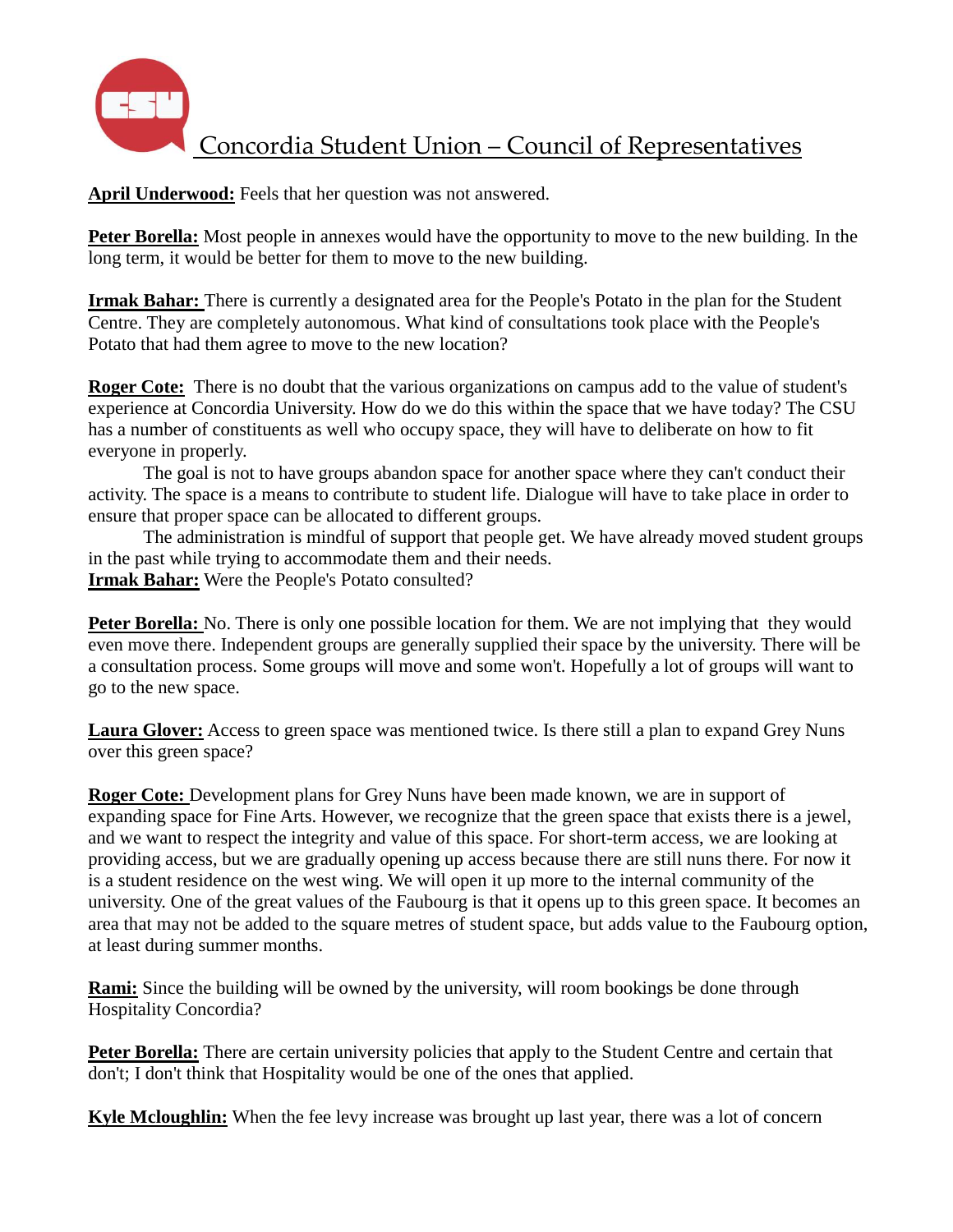

**April Underwood:** Feels that her question was not answered.

**Peter Borella:** Most people in annexes would have the opportunity to move to the new building. In the long term, it would be better for them to move to the new building.

**Irmak Bahar:** There is currently a designated area for the People's Potato in the plan for the Student Centre. They are completely autonomous. What kind of consultations took place with the People's Potato that had them agree to move to the new location?

**Roger Cote:** There is no doubt that the various organizations on campus add to the value of student's experience at Concordia University. How do we do this within the space that we have today? The CSU has a number of constituents as well who occupy space, they will have to deliberate on how to fit everyone in properly.

The goal is not to have groups abandon space for another space where they can't conduct their activity. The space is a means to contribute to student life. Dialogue will have to take place in order to ensure that proper space can be allocated to different groups.

The administration is mindful of support that people get. We have already moved student groups in the past while trying to accommodate them and their needs. **Irmak Bahar:** Were the People's Potato consulted?

**Peter Borella:** No. There is only one possible location for them. We are not implying that they would even move there. Independent groups are generally supplied their space by the university. There will be a consultation process. Some groups will move and some won't. Hopefully a lot of groups will want to go to the new space.

**Laura Glover:** Access to green space was mentioned twice. Is there still a plan to expand Grey Nuns over this green space?

**Roger Cote:** Development plans for Grey Nuns have been made known, we are in support of expanding space for Fine Arts. However, we recognize that the green space that exists there is a jewel, and we want to respect the integrity and value of this space. For short-term access, we are looking at providing access, but we are gradually opening up access because there are still nuns there. For now it is a student residence on the west wing. We will open it up more to the internal community of the university. One of the great values of the Faubourg is that it opens up to this green space. It becomes an area that may not be added to the square metres of student space, but adds value to the Faubourg option, at least during summer months.

**Rami:** Since the building will be owned by the university, will room bookings be done through Hospitality Concordia?

**Peter Borella:** There are certain university policies that apply to the Student Centre and certain that don't; I don't think that Hospitality would be one of the ones that applied.

**Kyle Mcloughlin:** When the fee levy increase was brought up last year, there was a lot of concern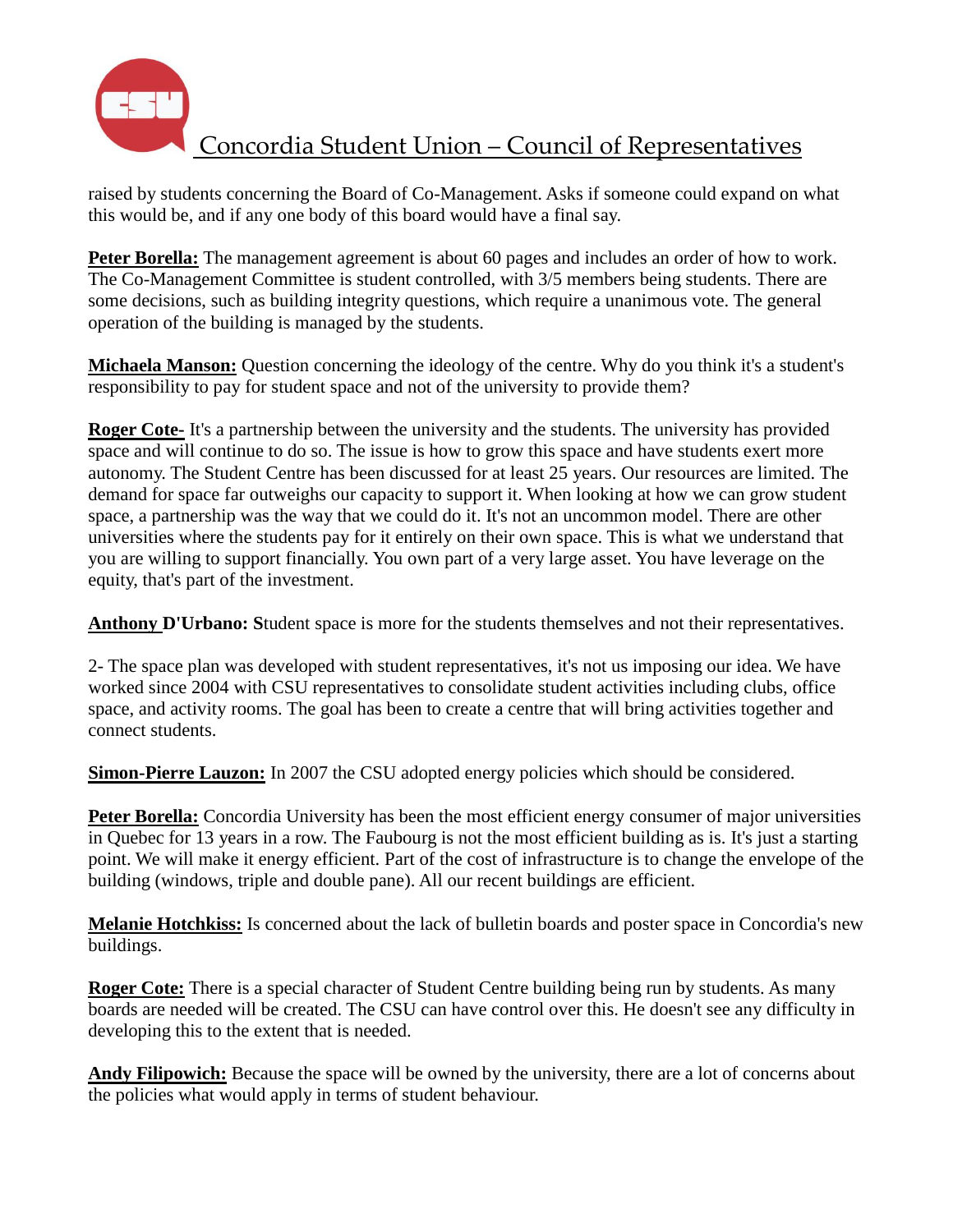

raised by students concerning the Board of Co-Management. Asks if someone could expand on what this would be, and if any one body of this board would have a final say.

**Peter Borella:** The management agreement is about 60 pages and includes an order of how to work. The Co-Management Committee is student controlled, with 3/5 members being students. There are some decisions, such as building integrity questions, which require a unanimous vote. The general operation of the building is managed by the students.

**Michaela Manson:** Question concerning the ideology of the centre. Why do you think it's a student's responsibility to pay for student space and not of the university to provide them?

**Roger Cote-** It's a partnership between the university and the students. The university has provided space and will continue to do so. The issue is how to grow this space and have students exert more autonomy. The Student Centre has been discussed for at least 25 years. Our resources are limited. The demand for space far outweighs our capacity to support it. When looking at how we can grow student space, a partnership was the way that we could do it. It's not an uncommon model. There are other universities where the students pay for it entirely on their own space. This is what we understand that you are willing to support financially. You own part of a very large asset. You have leverage on the equity, that's part of the investment.

**Anthony D'Urbano: S**tudent space is more for the students themselves and not their representatives.

2- The space plan was developed with student representatives, it's not us imposing our idea. We have worked since 2004 with CSU representatives to consolidate student activities including clubs, office space, and activity rooms. The goal has been to create a centre that will bring activities together and connect students.

**Simon-Pierre Lauzon:** In 2007 the CSU adopted energy policies which should be considered.

Peter Borella: Concordia University has been the most efficient energy consumer of major universities in Quebec for 13 years in a row. The Faubourg is not the most efficient building as is. It's just a starting point. We will make it energy efficient. Part of the cost of infrastructure is to change the envelope of the building (windows, triple and double pane). All our recent buildings are efficient.

**Melanie Hotchkiss:** Is concerned about the lack of bulletin boards and poster space in Concordia's new buildings.

**Roger Cote:** There is a special character of Student Centre building being run by students. As many boards are needed will be created. The CSU can have control over this. He doesn't see any difficulty in developing this to the extent that is needed.

**Andy Filipowich:** Because the space will be owned by the university, there are a lot of concerns about the policies what would apply in terms of student behaviour.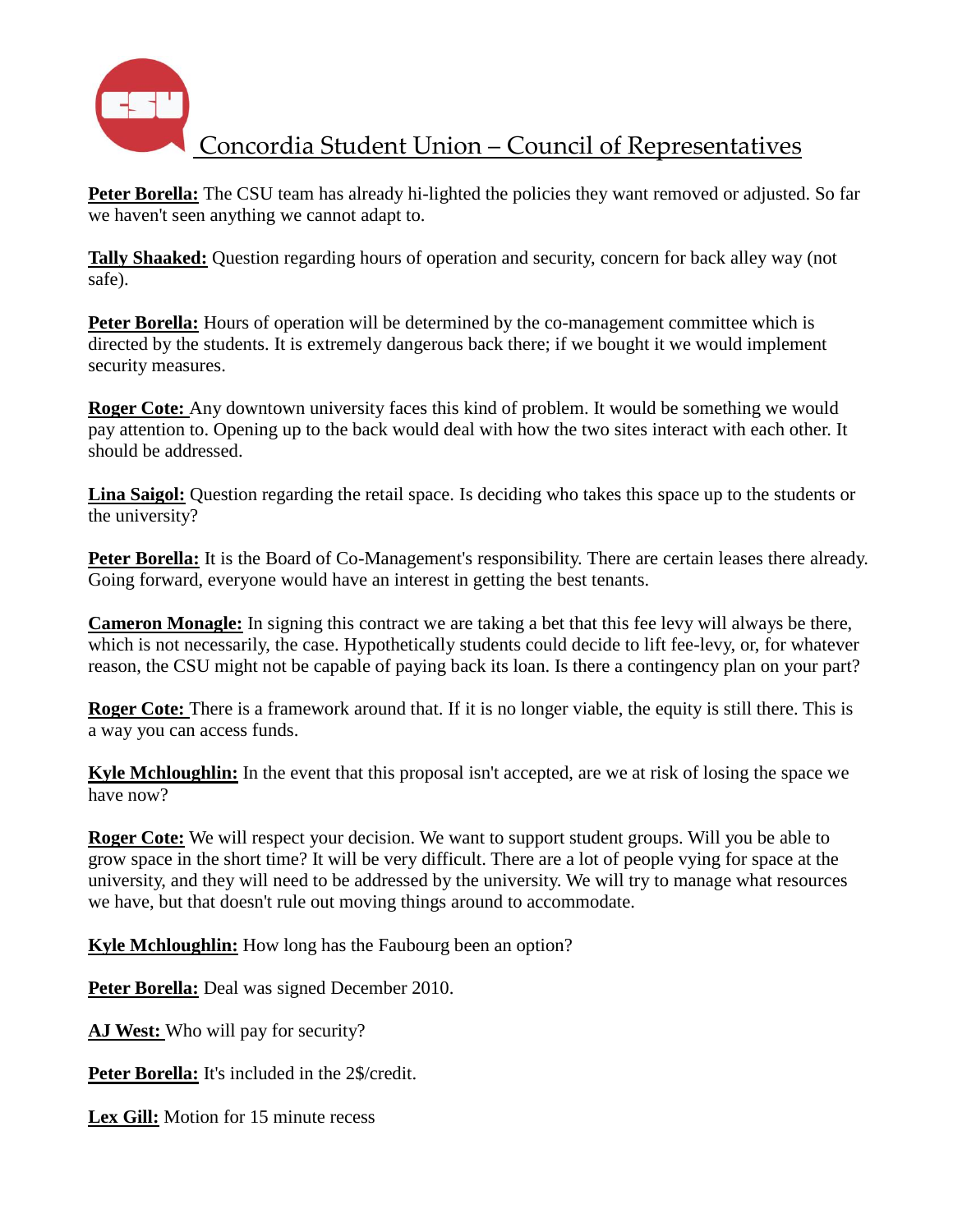

**Peter Borella:** The CSU team has already hi-lighted the policies they want removed or adjusted. So far we haven't seen anything we cannot adapt to.

**Tally Shaaked:** Question regarding hours of operation and security, concern for back alley way (not safe).

**Peter Borella:** Hours of operation will be determined by the co-management committee which is directed by the students. It is extremely dangerous back there; if we bought it we would implement security measures.

**Roger Cote:** Any downtown university faces this kind of problem. It would be something we would pay attention to. Opening up to the back would deal with how the two sites interact with each other. It should be addressed.

**Lina Saigol:** Question regarding the retail space. Is deciding who takes this space up to the students or the university?

**Peter Borella:** It is the Board of Co-Management's responsibility. There are certain leases there already. Going forward, everyone would have an interest in getting the best tenants.

**Cameron Monagle:** In signing this contract we are taking a bet that this fee levy will always be there, which is not necessarily, the case. Hypothetically students could decide to lift fee-levy, or, for whatever reason, the CSU might not be capable of paying back its loan. Is there a contingency plan on your part?

**Roger Cote:** There is a framework around that. If it is no longer viable, the equity is still there. This is a way you can access funds.

**Kyle Mchloughlin:** In the event that this proposal isn't accepted, are we at risk of losing the space we have now?

**Roger Cote:** We will respect your decision. We want to support student groups. Will you be able to grow space in the short time? It will be very difficult. There are a lot of people vying for space at the university, and they will need to be addressed by the university. We will try to manage what resources we have, but that doesn't rule out moving things around to accommodate.

**Kyle Mchloughlin:** How long has the Faubourg been an option?

**Peter Borella:** Deal was signed December 2010.

**AJ West:** Who will pay for security?

**Peter Borella:** It's included in the 2\$/credit.

**Lex Gill:** Motion for 15 minute recess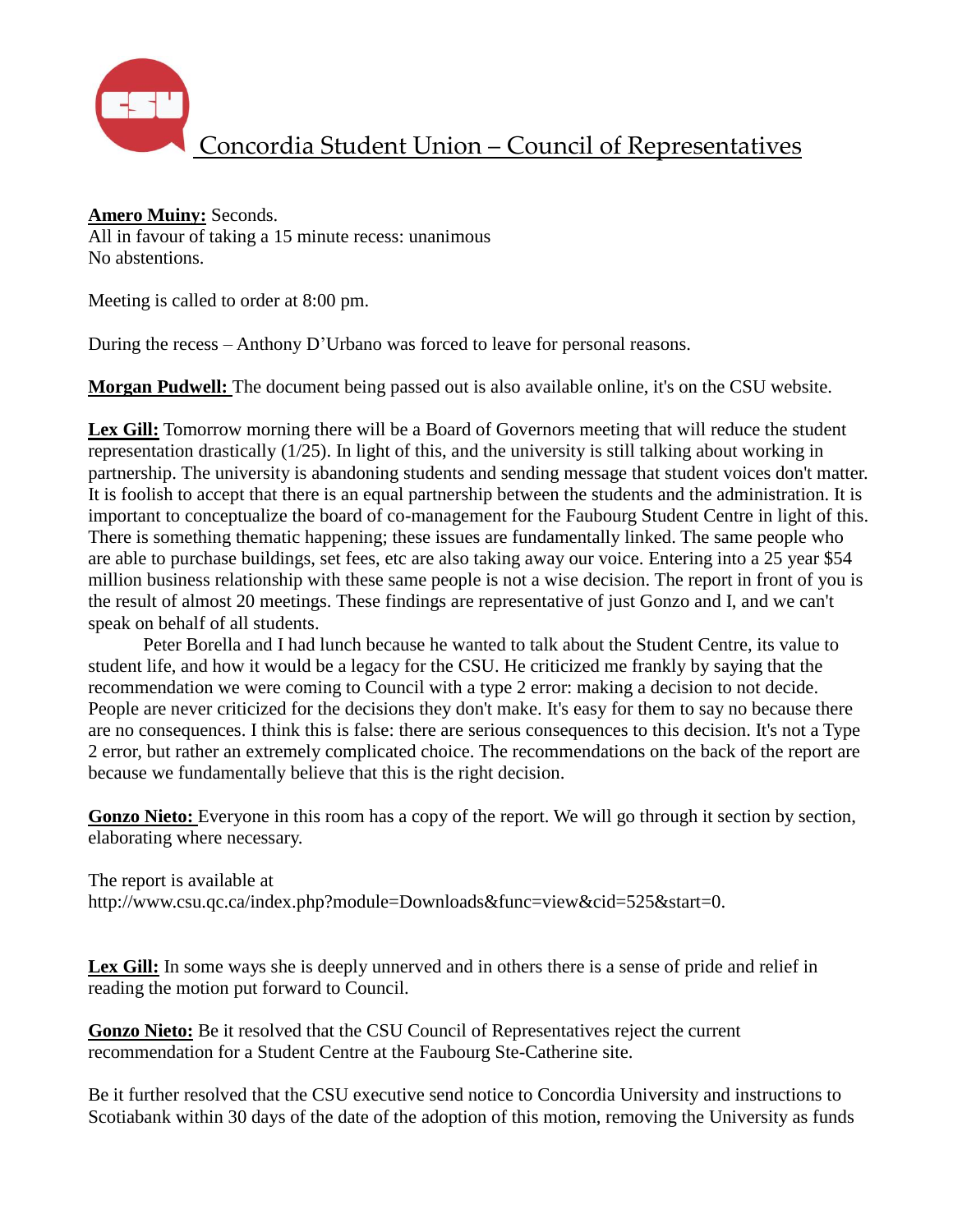

#### **Amero Muiny:** Seconds.

All in favour of taking a 15 minute recess: unanimous No abstentions.

Meeting is called to order at 8:00 pm.

During the recess – Anthony D'Urbano was forced to leave for personal reasons.

**Morgan Pudwell:** The document being passed out is also available online, it's on the CSU website.

Lex Gill: Tomorrow morning there will be a Board of Governors meeting that will reduce the student representation drastically (1/25). In light of this, and the university is still talking about working in partnership. The university is abandoning students and sending message that student voices don't matter. It is foolish to accept that there is an equal partnership between the students and the administration. It is important to conceptualize the board of co-management for the Faubourg Student Centre in light of this. There is something thematic happening; these issues are fundamentally linked. The same people who are able to purchase buildings, set fees, etc are also taking away our voice. Entering into a 25 year \$54 million business relationship with these same people is not a wise decision. The report in front of you is the result of almost 20 meetings. These findings are representative of just Gonzo and I, and we can't speak on behalf of all students.

Peter Borella and I had lunch because he wanted to talk about the Student Centre, its value to student life, and how it would be a legacy for the CSU. He criticized me frankly by saying that the recommendation we were coming to Council with a type 2 error: making a decision to not decide. People are never criticized for the decisions they don't make. It's easy for them to say no because there are no consequences. I think this is false: there are serious consequences to this decision. It's not a Type 2 error, but rather an extremely complicated choice. The recommendations on the back of the report are because we fundamentally believe that this is the right decision.

Gonzo Nieto: Everyone in this room has a copy of the report. We will go through it section by section, elaborating where necessary.

The report is available at [http://www.csu.qc.ca/index.php?module=Downloads&func=view&cid=525&start=0.](http://www.csu.qc.ca/index.php?module=Downloads&func=view&cid=525&start=0)

**Lex Gill:** In some ways she is deeply unnerved and in others there is a sense of pride and relief in reading the motion put forward to Council.

**Gonzo Nieto:** Be it resolved that the CSU Council of Representatives reject the current recommendation for a Student Centre at the Faubourg Ste-Catherine site.

Be it further resolved that the CSU executive send notice to Concordia University and instructions to Scotiabank within 30 days of the date of the adoption of this motion, removing the University as funds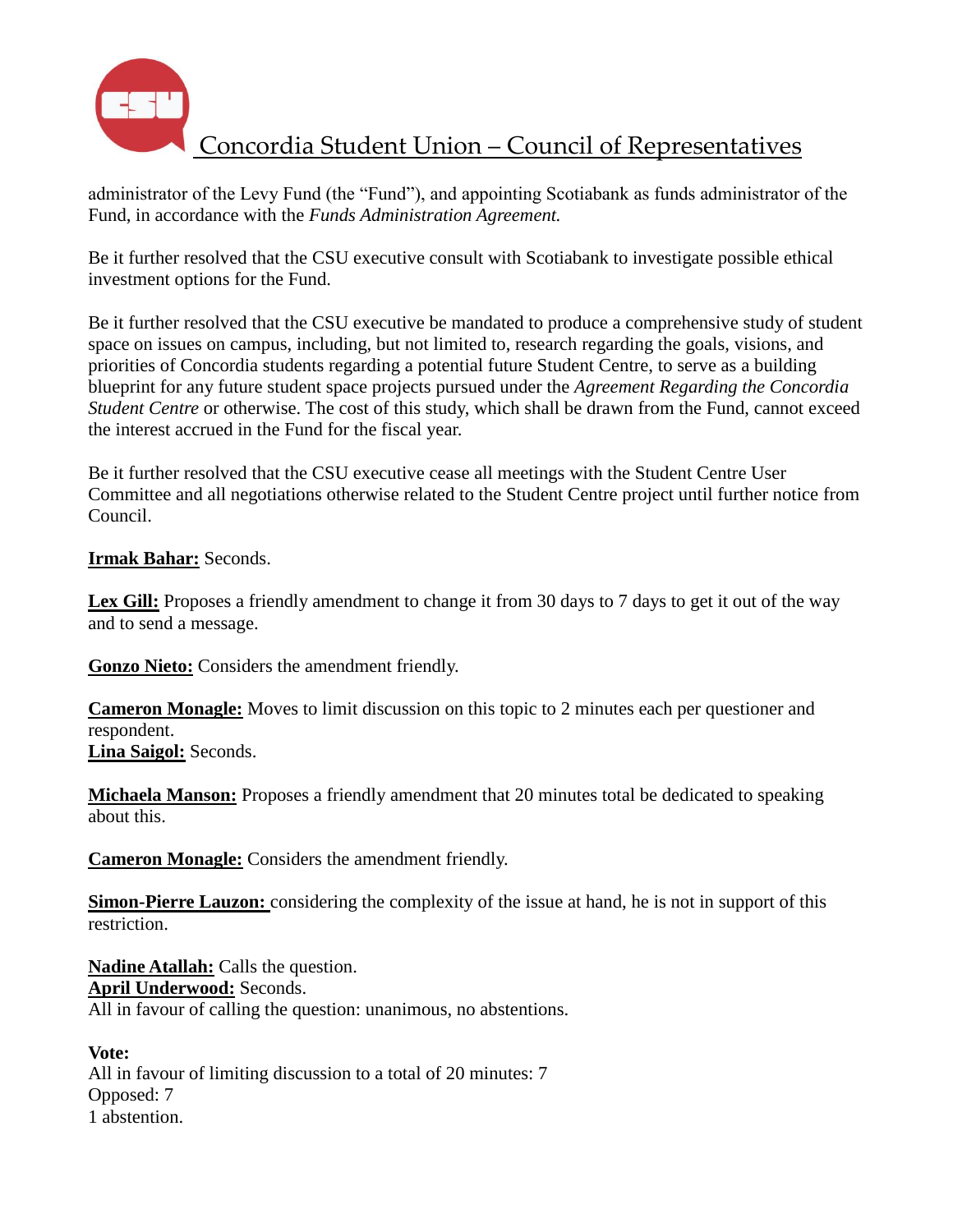

administrator of the Levy Fund (the "Fund"), and appointing Scotiabank as funds administrator of the Fund, in accordance with the *Funds Administration Agreement.*

Be it further resolved that the CSU executive consult with Scotiabank to investigate possible ethical investment options for the Fund.

Be it further resolved that the CSU executive be mandated to produce a comprehensive study of student space on issues on campus, including, but not limited to, research regarding the goals, visions, and priorities of Concordia students regarding a potential future Student Centre, to serve as a building blueprint for any future student space projects pursued under the *Agreement Regarding the Concordia Student Centre* or otherwise. The cost of this study, which shall be drawn from the Fund, cannot exceed the interest accrued in the Fund for the fiscal year.

Be it further resolved that the CSU executive cease all meetings with the Student Centre User Committee and all negotiations otherwise related to the Student Centre project until further notice from Council.

#### **Irmak Bahar:** Seconds.

Lex Gill: Proposes a friendly amendment to change it from 30 days to 7 days to get it out of the way and to send a message.

**Gonzo Nieto:** Considers the amendment friendly.

**Cameron Monagle:** Moves to limit discussion on this topic to 2 minutes each per questioner and respondent. **Lina Saigol:** Seconds.

**Michaela Manson:** Proposes a friendly amendment that 20 minutes total be dedicated to speaking about this.

**Cameron Monagle:** Considers the amendment friendly.

**Simon-Pierre Lauzon:** considering the complexity of the issue at hand, he is not in support of this restriction.

**Nadine Atallah:** Calls the question. **April Underwood:** Seconds. All in favour of calling the question: unanimous, no abstentions.

**Vote:** All in favour of limiting discussion to a total of 20 minutes: 7 Opposed: 7 1 abstention.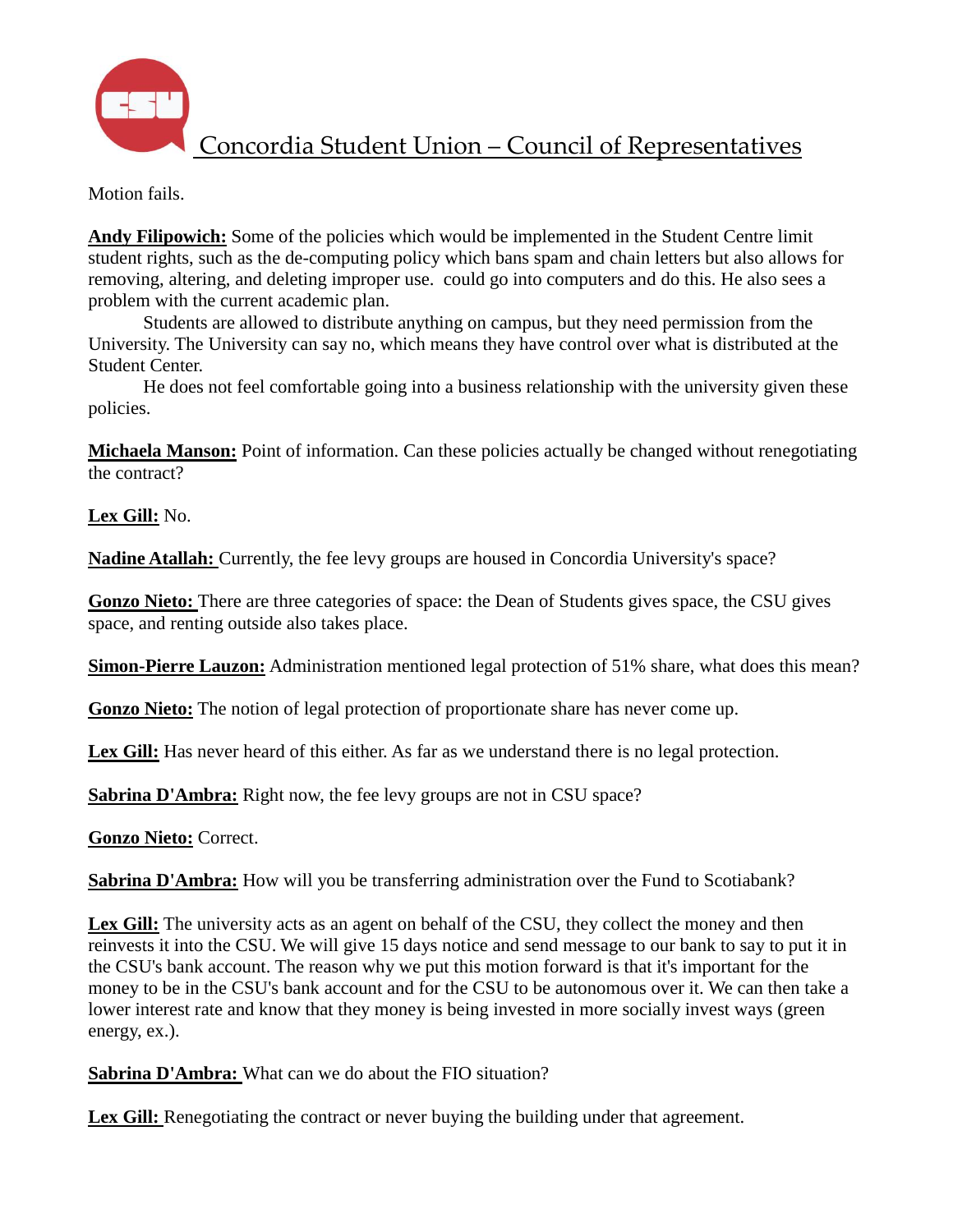

Motion fails.

**Andy Filipowich:** Some of the policies which would be implemented in the Student Centre limit student rights, such as the de-computing policy which bans spam and chain letters but also allows for removing, altering, and deleting improper use. could go into computers and do this. He also sees a problem with the current academic plan.

Students are allowed to distribute anything on campus, but they need permission from the University. The University can say no, which means they have control over what is distributed at the Student Center.

He does not feel comfortable going into a business relationship with the university given these policies.

**Michaela Manson:** Point of information. Can these policies actually be changed without renegotiating the contract?

**Lex Gill:** No.

**Nadine Atallah:** Currently, the fee levy groups are housed in Concordia University's space?

**Gonzo Nieto:** There are three categories of space: the Dean of Students gives space, the CSU gives space, and renting outside also takes place.

**Simon-Pierre Lauzon:** Administration mentioned legal protection of 51% share, what does this mean?

**Gonzo Nieto:** The notion of legal protection of proportionate share has never come up.

**Lex Gill:** Has never heard of this either. As far as we understand there is no legal protection.

**Sabrina D'Ambra:** Right now, the fee levy groups are not in CSU space?

**Gonzo Nieto:** Correct.

**Sabrina D'Ambra:** How will you be transferring administration over the Fund to Scotiabank?

**Lex Gill:** The university acts as an agent on behalf of the CSU, they collect the money and then reinvests it into the CSU. We will give 15 days notice and send message to our bank to say to put it in the CSU's bank account. The reason why we put this motion forward is that it's important for the money to be in the CSU's bank account and for the CSU to be autonomous over it. We can then take a lower interest rate and know that they money is being invested in more socially invest ways (green energy, ex.).

**Sabrina D'Ambra:** What can we do about the FIO situation?

Lex Gill: Renegotiating the contract or never buying the building under that agreement.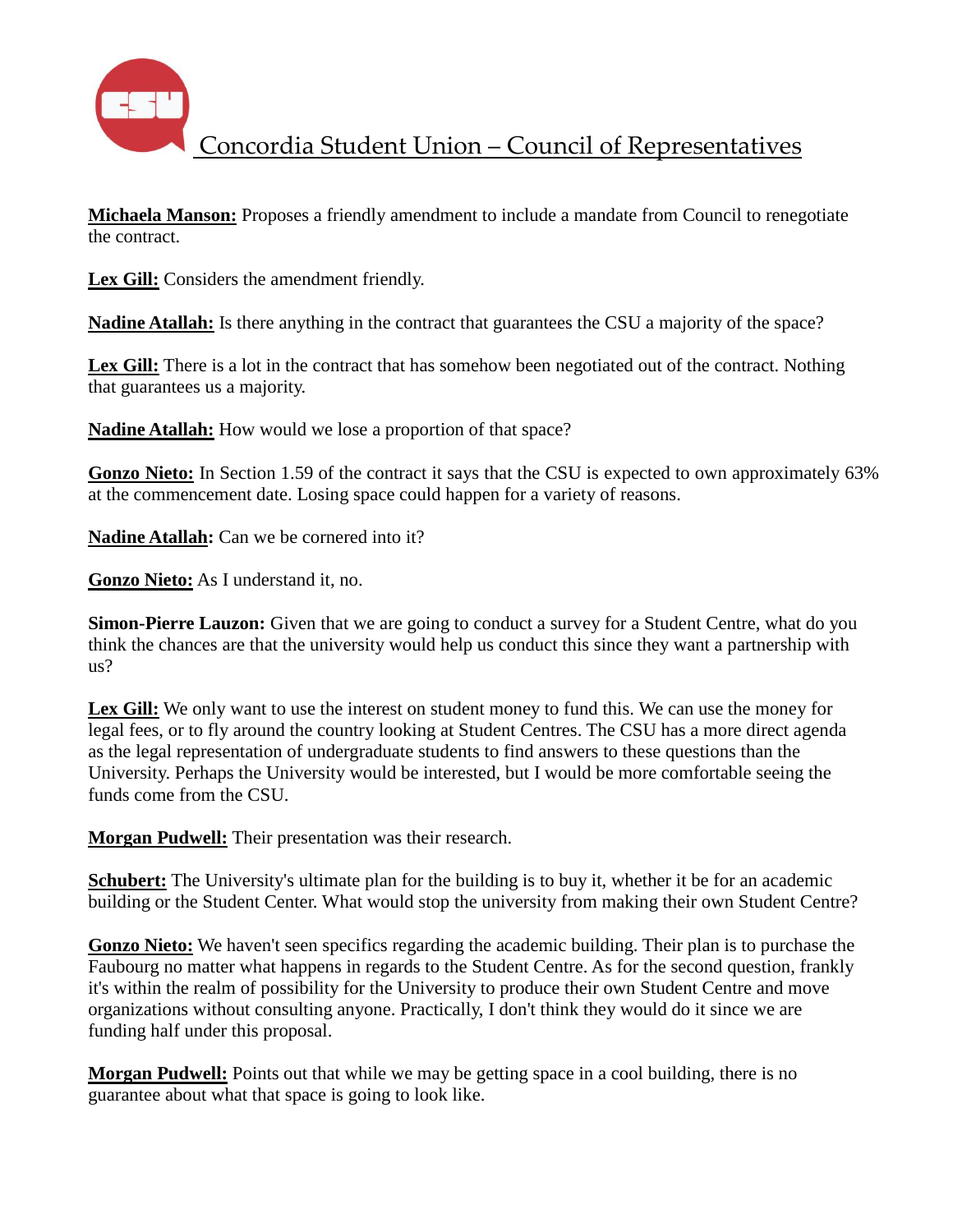

**Michaela Manson:** Proposes a friendly amendment to include a mandate from Council to renegotiate the contract.

Lex Gill: Considers the amendment friendly.

**Nadine Atallah:** Is there anything in the contract that guarantees the CSU a majority of the space?

Lex Gill: There is a lot in the contract that has somehow been negotiated out of the contract. Nothing that guarantees us a majority.

**Nadine Atallah:** How would we lose a proportion of that space?

**Gonzo Nieto:** In Section 1.59 of the contract it says that the CSU is expected to own approximately 63% at the commencement date. Losing space could happen for a variety of reasons.

**Nadine Atallah:** Can we be cornered into it?

**Gonzo Nieto:** As I understand it, no.

**Simon-Pierre Lauzon:** Given that we are going to conduct a survey for a Student Centre, what do you think the chances are that the university would help us conduct this since they want a partnership with us?

Lex Gill: We only want to use the interest on student money to fund this. We can use the money for legal fees, or to fly around the country looking at Student Centres. The CSU has a more direct agenda as the legal representation of undergraduate students to find answers to these questions than the University. Perhaps the University would be interested, but I would be more comfortable seeing the funds come from the CSU.

**Morgan Pudwell:** Their presentation was their research.

**Schubert:** The University's ultimate plan for the building is to buy it, whether it be for an academic building or the Student Center. What would stop the university from making their own Student Centre?

**Gonzo Nieto:** We haven't seen specifics regarding the academic building. Their plan is to purchase the Faubourg no matter what happens in regards to the Student Centre. As for the second question, frankly it's within the realm of possibility for the University to produce their own Student Centre and move organizations without consulting anyone. Practically, I don't think they would do it since we are funding half under this proposal.

**Morgan Pudwell:** Points out that while we may be getting space in a cool building, there is no guarantee about what that space is going to look like.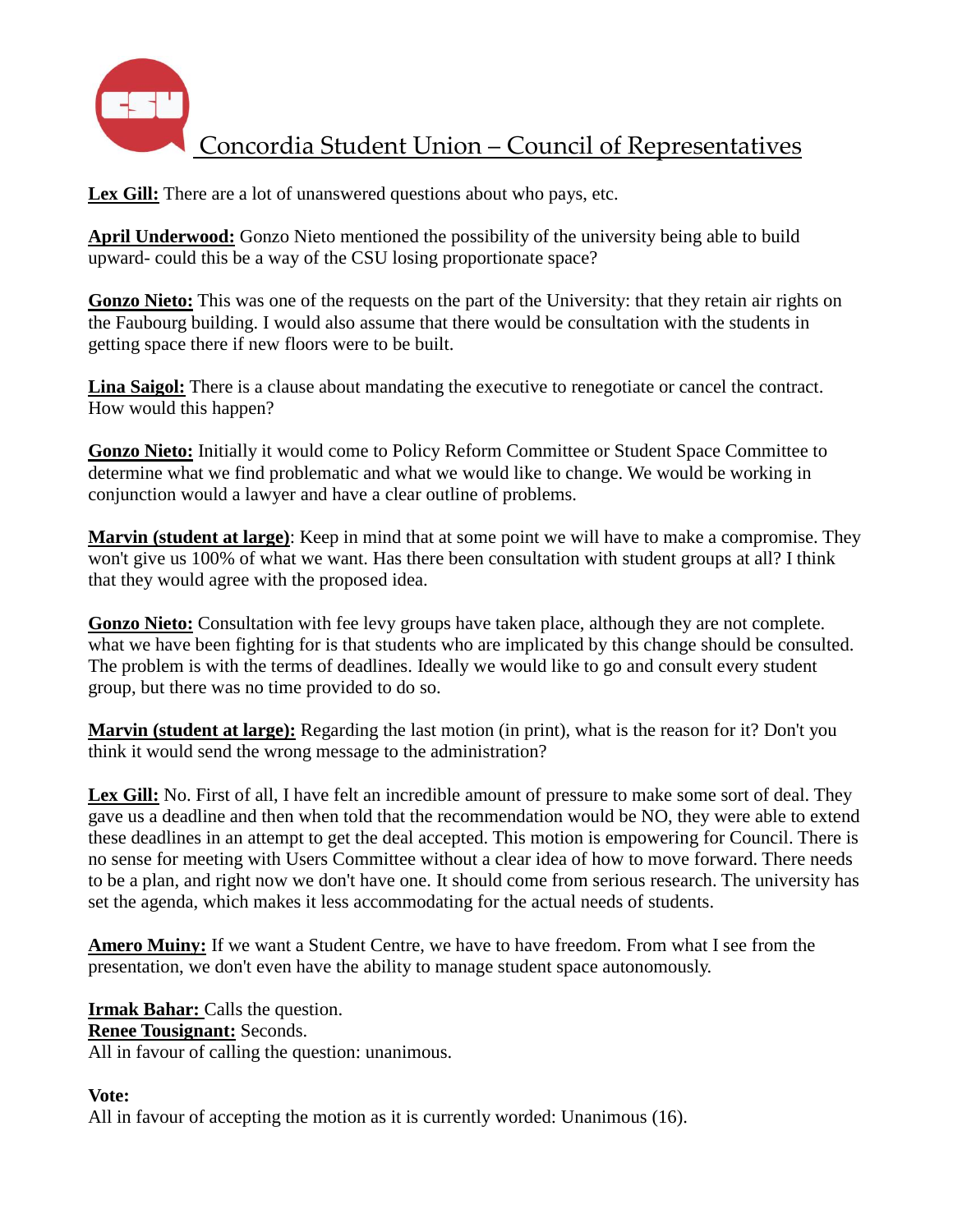

Lex Gill: There are a lot of unanswered questions about who pays, etc.

**April Underwood:** Gonzo Nieto mentioned the possibility of the university being able to build upward- could this be a way of the CSU losing proportionate space?

**Gonzo Nieto:** This was one of the requests on the part of the University: that they retain air rights on the Faubourg building. I would also assume that there would be consultation with the students in getting space there if new floors were to be built.

**Lina Saigol:** There is a clause about mandating the executive to renegotiate or cancel the contract. How would this happen?

**Gonzo Nieto:** Initially it would come to Policy Reform Committee or Student Space Committee to determine what we find problematic and what we would like to change. We would be working in conjunction would a lawyer and have a clear outline of problems.

**Marvin (student at large)**: Keep in mind that at some point we will have to make a compromise. They won't give us 100% of what we want. Has there been consultation with student groups at all? I think that they would agree with the proposed idea.

**Gonzo Nieto:** Consultation with fee levy groups have taken place, although they are not complete. what we have been fighting for is that students who are implicated by this change should be consulted. The problem is with the terms of deadlines. Ideally we would like to go and consult every student group, but there was no time provided to do so.

**Marvin (student at large):** Regarding the last motion (in print), what is the reason for it? Don't you think it would send the wrong message to the administration?

Lex Gill: No. First of all, I have felt an incredible amount of pressure to make some sort of deal. They gave us a deadline and then when told that the recommendation would be NO, they were able to extend these deadlines in an attempt to get the deal accepted. This motion is empowering for Council. There is no sense for meeting with Users Committee without a clear idea of how to move forward. There needs to be a plan, and right now we don't have one. It should come from serious research. The university has set the agenda, which makes it less accommodating for the actual needs of students.

**Amero Muiny:** If we want a Student Centre, we have to have freedom. From what I see from the presentation, we don't even have the ability to manage student space autonomously.

**Irmak Bahar:** Calls the question. **Renee Tousignant:** Seconds. All in favour of calling the question: unanimous.

## **Vote:**

All in favour of accepting the motion as it is currently worded: Unanimous (16).